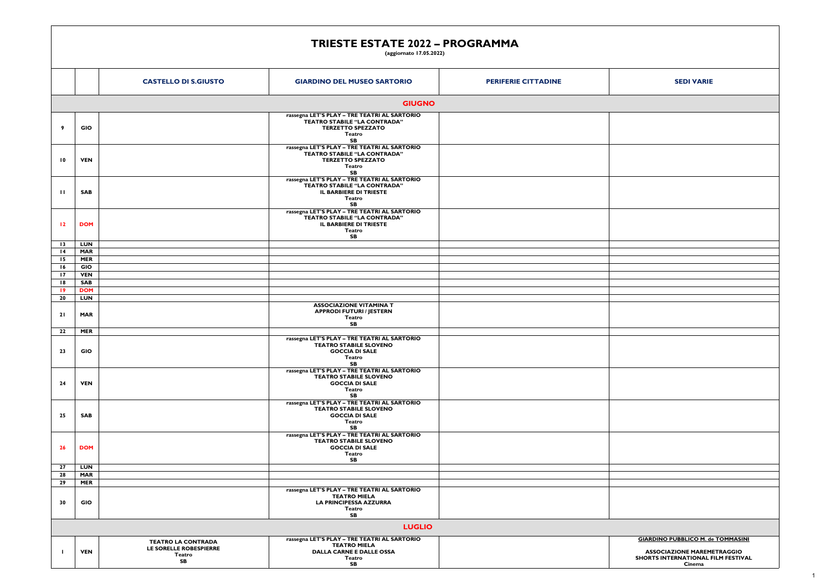|                                    | <b>TRIESTE ESTATE 2022 - PROGRAMMA</b><br>(aggiornato 17.05.2022) |                                                                            |                                                                                                                                                   |                            |                                                                                                        |
|------------------------------------|-------------------------------------------------------------------|----------------------------------------------------------------------------|---------------------------------------------------------------------------------------------------------------------------------------------------|----------------------------|--------------------------------------------------------------------------------------------------------|
|                                    |                                                                   | <b>CASTELLO DI S.GIUSTO</b>                                                | <b>GIARDINO DEL MUSEO SARTORIO</b>                                                                                                                | <b>PERIFERIE CITTADINE</b> | <b>SEDI VARIE</b>                                                                                      |
|                                    |                                                                   |                                                                            | <b>GIUGNO</b>                                                                                                                                     |                            |                                                                                                        |
| $\mathbf{9}$                       | GIO                                                               |                                                                            | rassegna LET'S PLAY - TRE TEATRI AL SARTORIO<br><b>TEATRO STABILE "LA CONTRADA"</b><br><b>TERZETTO SPEZZATO</b><br>Teatro<br><b>SB</b>            |                            |                                                                                                        |
| $\overline{10}$                    | <b>VEN</b>                                                        |                                                                            | rassegna LET'S PLAY - TRE TEATRI AL SARTORIO<br><b>TEATRO STABILE "LA CONTRADA"</b><br><b>TERZETTO SPEZZATO</b><br>Teatro<br><b>SB</b>            |                            |                                                                                                        |
| $\mathbf{H}$                       | SAB                                                               |                                                                            | rassegna LET'S PLAY - TRE TEATRI AL SARTORIO<br><b>TEATRO STABILE "LA CONTRADA"</b><br><b>IL BARBIERE DI TRIESTE</b><br>Teatro<br><b>SB</b>       |                            |                                                                                                        |
| 12                                 | <b>DOM</b>                                                        |                                                                            | rassegna LET'S PLAY - TRE TEATRI AL SARTORIO<br><b>TEATRO STABILE "LA CONTRADA"</b><br>IL BARBIERE DI TRIESTE<br>Teatro<br><b>SB</b>              |                            |                                                                                                        |
| $\overline{13}$                    | <b>LUN</b>                                                        |                                                                            |                                                                                                                                                   |                            |                                                                                                        |
| $\overline{14}$<br>15 <sub>1</sub> | <b>MAR</b><br><b>MER</b>                                          |                                                                            |                                                                                                                                                   |                            |                                                                                                        |
| 16                                 | GIO                                                               |                                                                            |                                                                                                                                                   |                            |                                                                                                        |
| 17<br>18                           | <b>VEN</b><br><b>SAB</b>                                          |                                                                            |                                                                                                                                                   |                            |                                                                                                        |
| $\overline{19}$                    | <b>DOM</b>                                                        |                                                                            |                                                                                                                                                   |                            |                                                                                                        |
| 20                                 | <b>LUN</b>                                                        |                                                                            |                                                                                                                                                   |                            |                                                                                                        |
| 21                                 | <b>MAR</b>                                                        |                                                                            | <b>ASSOCIAZIONE VITAMINA T</b><br><b>APPRODI FUTURI / JESTERN</b><br>Teatro<br><b>SB</b>                                                          |                            |                                                                                                        |
| 22<br>23                           | <b>MER</b><br>GIO                                                 |                                                                            | rassegna LET'S PLAY - TRE TEATRI AL SARTORIO<br><b>TEATRO STABILE SLOVENO</b><br><b>GOCCIA DI SALE</b><br>Teatro                                  |                            |                                                                                                        |
| 24                                 | <b>VEN</b>                                                        |                                                                            | <b>SB</b><br>rassegna LET'S PLAY - TRE TEATRI AL SARTORIO<br><b>TEATRO STABILE SLOVENO</b><br><b>GOCCIA DI SALE</b><br><b>Teatro</b><br><b>SB</b> |                            |                                                                                                        |
| 25                                 | SAB                                                               |                                                                            | rassegna LET'S PLAY - TRE TEATRI AL SARTORIO<br><b>TEATRO STABILE SLOVENO</b><br><b>GOCCIA DI SALE</b><br>Teatro<br><b>SB</b>                     |                            |                                                                                                        |
| 26                                 | <b>DOM</b>                                                        |                                                                            | rassegna LET'S PLAY - TRE TEATRI AL SARTORIO<br><b>TEATRO STABILE SLOVENO</b><br><b>GOCCIA DI SALE</b><br>Teatro<br><b>SB</b>                     |                            |                                                                                                        |
| 27                                 | <b>LUN</b>                                                        |                                                                            |                                                                                                                                                   |                            |                                                                                                        |
| 28<br>29                           | <b>MAR</b><br><b>MER</b>                                          |                                                                            |                                                                                                                                                   |                            |                                                                                                        |
| 30                                 | GIO                                                               |                                                                            | rassegna LET'S PLAY - TRE TEATRI AL SARTORIO<br><b>TEATRO MIELA</b><br><b>LA PRINCIPESSA AZZURRA</b><br>Teatro<br><b>SB</b>                       |                            |                                                                                                        |
|                                    |                                                                   |                                                                            | <b>LUGLIO</b>                                                                                                                                     |                            |                                                                                                        |
|                                    | <b>VEN</b>                                                        | <b>TEATRO LA CONTRADA</b><br>LE SORELLE ROBESPIERRE<br>Teatro<br><b>SB</b> | rassegna LET'S PLAY - TRE TEATRI AL SARTORIO<br><b>TEATRO MIELA</b><br><b>DALLA CARNE E DALLE OSSA</b><br>Teatro<br><b>SB</b>                     |                            | <b>GIARDINO PUBBLICO M. de</b><br><b>ASSOCIAZIONE MAREM</b><br><b>SHORTS INTERNATIONAL I</b><br>Cinema |

| <b>SEDI VARIE</b>                            |
|----------------------------------------------|
|                                              |
|                                              |
|                                              |
|                                              |
|                                              |
|                                              |
|                                              |
|                                              |
|                                              |
|                                              |
|                                              |
|                                              |
|                                              |
|                                              |
|                                              |
|                                              |
|                                              |
|                                              |
|                                              |
|                                              |
|                                              |
|                                              |
|                                              |
|                                              |
|                                              |
|                                              |
|                                              |
|                                              |
|                                              |
|                                              |
|                                              |
|                                              |
|                                              |
|                                              |
|                                              |
|                                              |
|                                              |
|                                              |
|                                              |
|                                              |
|                                              |
|                                              |
|                                              |
|                                              |
|                                              |
|                                              |
|                                              |
|                                              |
|                                              |
|                                              |
|                                              |
|                                              |
|                                              |
|                                              |
| <b>GIARDINO PUBBLICO M. de TOMMASINI</b>     |
|                                              |
| <b>ASSOCIAZIONE MAREMETRAGGIO</b>            |
| SHORTS INTERNATIONAL FILM FESTIVAL<br>Cinema |
|                                              |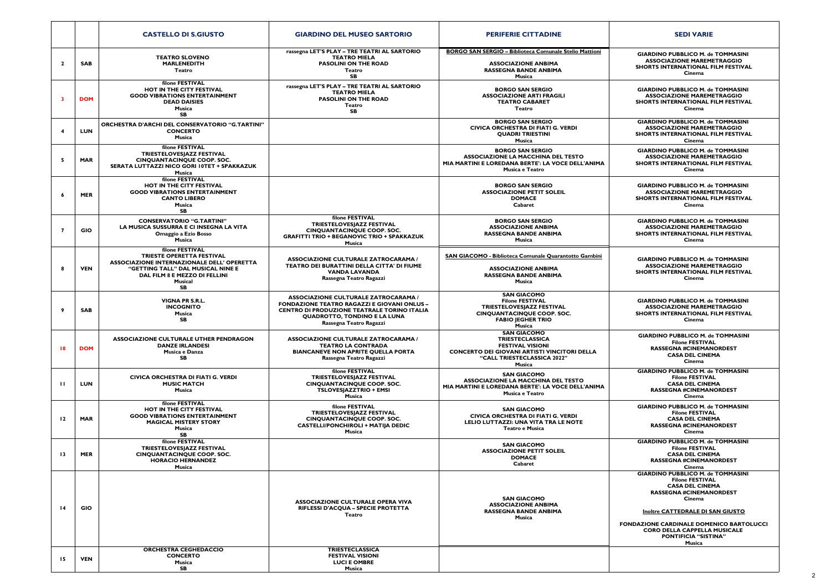|                         |            | <b>CASTELLO DI S.GIUSTO</b>                                                                                                                                                                            | <b>GIARDINO DEL MUSEO SARTORIO</b>                                                                                                                                                                                        | <b>PERIFERIE CITTADINE</b>                                                                                                                                              | <b>SEDI VARIE</b>                                                                                                                                                                                                                                                                                               |
|-------------------------|------------|--------------------------------------------------------------------------------------------------------------------------------------------------------------------------------------------------------|---------------------------------------------------------------------------------------------------------------------------------------------------------------------------------------------------------------------------|-------------------------------------------------------------------------------------------------------------------------------------------------------------------------|-----------------------------------------------------------------------------------------------------------------------------------------------------------------------------------------------------------------------------------------------------------------------------------------------------------------|
| $\overline{2}$          | <b>SAB</b> | <b>TEATRO SLOVENO</b><br><b>MARLENEDITH</b><br>Teatro                                                                                                                                                  | rassegna LET'S PLAY - TRE TEATRI AL SARTORIO<br><b>TEATRO MIELA</b><br><b>PASOLINI ON THE ROAD</b><br>Teatro<br><b>SB</b>                                                                                                 | <b>BORGO SAN SERGIO - Biblioteca Comunale Stelio Mattioni</b><br><b>ASSOCIAZIONE ANBIMA</b><br><b>RASSEGNA BANDE ANBIMA</b><br>Musica                                   | <b>GIARDINO PUBBLICO M. de TOMMASINI</b><br><b>ASSOCIAZIONE MAREMETRAGGIO</b><br><b>SHORTS INTERNATIONAL FILM FESTIVAL</b><br>Cinema                                                                                                                                                                            |
| $\overline{\mathbf{3}}$ | <b>DOM</b> | filone FESTIVAL<br>HOT IN THE CITY FESTIVAL<br><b>GOOD VIBRATIONS ENTERTAINMENT</b><br><b>DEAD DAISIES</b><br>Musica<br><b>SB</b>                                                                      | rassegna LET'S PLAY - TRE TEATRI AL SARTORIO<br><b>TEATRO MIELA</b><br><b>PASOLINI ON THE ROAD</b><br>Teatro<br><b>SB</b>                                                                                                 | <b>BORGO SAN SERGIO</b><br><b>ASSOCIAZIONE ARTI FRAGILI</b><br><b>TEATRO CABARET</b><br>Teatro                                                                          | <b>GIARDINO PUBBLICO M. de TOMMASINI</b><br><b>ASSOCIAZIONE MAREMETRAGGIO</b><br><b>SHORTS INTERNATIONAL FILM FESTIVAL</b><br>Cinema                                                                                                                                                                            |
| $\boldsymbol{4}$        | <b>LUN</b> | ORCHESTRA D'ARCHI DEL CONSERVATORIO "G.TARTINI"<br><b>CONCERTO</b><br>Musica                                                                                                                           |                                                                                                                                                                                                                           | <b>BORGO SAN SERGIO</b><br><b>CIVICA ORCHESTRA DI FIATI G. VERDI</b><br><b>QUADRI TRIESTINI</b><br>Musica                                                               | <b>GIARDINO PUBBLICO M. de TOMMASINI</b><br><b>ASSOCIAZIONE MAREMETRAGGIO</b><br><b>SHORTS INTERNATIONAL FILM FESTIVAL</b><br>Cinema                                                                                                                                                                            |
| -5                      | <b>MAR</b> | filone FESTIVAL<br>TRIESTELOVESJAZZ FESTIVAL<br><b>CINQUANTACINQUE COOP. SOC.</b><br>SERATA LUTTAZZI NICO GORI 10TET + SPAKKAZUK<br>Musica                                                             |                                                                                                                                                                                                                           | <b>BORGO SAN SERGIO</b><br><b>ASSOCIAZIONE LA MACCHINA DEL TESTO</b><br>MIA MARTINI E LOREDANA BERTE': LA VOCE DELL'ANIMA<br><b>Musica e Teatro</b>                     | <b>GIARDINO PUBBLICO M. de TOMMASINI</b><br><b>ASSOCIAZIONE MAREMETRAGGIO</b><br><b>SHORTS INTERNATIONAL FILM FESTIVAL</b><br>Cinema                                                                                                                                                                            |
|                         | <b>MER</b> | filone FESTIVAL<br>HOT IN THE CITY FESTIVAL<br><b>GOOD VIBRATIONS ENTERTAINMENT</b><br><b>CANTO LIBERO</b><br>Musica<br><b>SB</b>                                                                      |                                                                                                                                                                                                                           | <b>BORGO SAN SERGIO</b><br><b>ASSOCIAZIONE PETIT SOLEIL</b><br><b>DOMACE</b><br>Cabaret                                                                                 | <b>GIARDINO PUBBLICO M. de TOMMASINI</b><br><b>ASSOCIAZIONE MAREMETRAGGIO</b><br><b>SHORTS INTERNATIONAL FILM FESTIVAL</b><br>Cinema                                                                                                                                                                            |
|                         | <b>GIO</b> | <b>CONSERVATORIO "G.TARTINI"</b><br>LA MUSICA SUSSURRA E CI INSEGNA LA VITA<br>Omaggio a Ezio Bosso<br>Musica                                                                                          | filone FESTIVAL<br>TRIESTELOVESJAZZ FESTIVAL<br><b>CINQUANTACINQUE COOP. SOC.</b><br><b>GRAFITTI TRIO + BEGANOVIC TRIO + SPAKKAZUK</b><br>Musica                                                                          | <b>BORGO SAN SERGIO</b><br><b>ASSOCIAZIONE ANBIMA</b><br><b>RASSEGNA BANDE ANBIMA</b><br>Musica                                                                         | <b>GIARDINO PUBBLICO M. de TOMMASINI</b><br><b>ASSOCIAZIONE MAREMETRAGGIO</b><br><b>SHORTS INTERNATIONAL FILM FESTIVAL</b><br>Cinema                                                                                                                                                                            |
|                         | <b>VEN</b> | filone FESTIVAL<br><b>TRIESTE OPERETTA FESTIVAL</b><br><b>ASSOCIAZIONE INTERNAZIONALE DELL' OPERETTA</b><br>"GETTING TALL" DAL MUSICAL NINE E<br>DAL FILM 8 E MEZZO DI FELLINI<br>Musical<br><b>SB</b> | <b>ASSOCIAZIONE CULTURALE ZATROCARAMA /</b><br>TEATRO DEI BURATTINI DELLA CITTA' DI FIUME<br><b>VANDA LAVANDA</b><br>Rassegna Teatro Ragazzi                                                                              | SAN GIACOMO - Biblioteca Comunale Quarantotto Gambini<br><b>ASSOCIAZIONE ANBIMA</b><br><b>RASSEGNA BANDE ANBIMA</b><br>Musica                                           | <b>GIARDINO PUBBLICO M. de TOMMASINI</b><br><b>ASSOCIAZIONE MAREMETRAGGIO</b><br>SHORTS INTERNATIONAL FILM FESTIVAL<br>Cinema                                                                                                                                                                                   |
| 9                       | <b>SAB</b> | <b>VIGNA PR S.R.L.</b><br><b>INCOGNITO</b><br>Musica<br><b>SB</b>                                                                                                                                      | <b>ASSOCIAZIONE CULTURALE ZATROCARAMA /</b><br><b>FONDAZIONE TEATRO RAGAZZI E GIOVANI ONLUS -</b><br><b>CENTRO DI PRODUZIONE TEATRALE TORINO ITALIA</b><br><b>QUADROTTO, TONDINO E LA LUNA</b><br>Rassegna Teatro Ragazzi | <b>SAN GIACOMO</b><br><b>Filone FESTIVAL</b><br>TRIESTELOVESJAZZ FESTIVAL<br><b>CINQUANTACINQUE COOP. SOC.</b><br><b>FABIO JEGHER TRIO</b><br>Musica                    | <b>GIARDINO PUBBLICO M. de TOMMASINI</b><br><b>ASSOCIAZIONE MAREMETRAGGIO</b><br><b>SHORTS INTERNATIONAL FILM FESTIVAL</b><br>Cinema                                                                                                                                                                            |
| 10                      | <b>DOM</b> | <b>ASSOCIAZIONE CULTURALE UTHER PENDRAGON</b><br><b>DANZE IRLANDESI</b><br>Musica e Danza<br><b>SB</b>                                                                                                 | <b>ASSOCIAZIONE CULTURALE ZATROCARAMA /</b><br><b>TEATRO LA CONTRADA</b><br><b>BIANCANEVE NON APRITE QUELLA PORTA</b><br>Rassegna Teatro Ragazzi                                                                          | <b>SAN GIACOMO</b><br><b>TRIESTECLASSICA</b><br><b>FESTIVAL VISIONI</b><br><b>CONCERTO DEI GIOVANI ARTISTI VINCITORI DELLA</b><br>"CALL TRIESTECLASSICA 2022"<br>Musica | <b>GIARDINO PUBBLICO M. de TOMMASINI</b><br><b>Filone FESTIVAL</b><br><b>RASSEGNA #CINEMANORDEST</b><br><b>CASA DEL CINEMA</b><br>Cinema                                                                                                                                                                        |
| $\mathbf{H}$            | <b>LUN</b> | <b>CIVICA ORCHESTRA DI FIATI G. VERDI</b><br><b>MUSIC MATCH</b><br>Musica                                                                                                                              | filone FESTIVAL<br>TRIESTELOVESJAZZ FESTIVAL<br><b>CINQUANTACINQUE COOP. SOC.</b><br><b>TSLOVESJAZZTRIO + EMSI</b><br>Musica                                                                                              | <b>SAN GIACOMO</b><br><b>ASSOCIAZIONE LA MACCHINA DEL TESTO</b><br>MIA MARTINI E LOREDANA BERTE': LA VOCE DELL'ANIMA<br>Musica e Teatro                                 | <b>GIARDINO PUBBLICO M. de TOMMASINI</b><br><b>Filone FESTIVAL</b><br><b>CASA DEL CINEMA</b><br><b>RASSEGNA #CINEMANORDEST</b><br>Cinema                                                                                                                                                                        |
| 12                      | <b>MAR</b> | filone FESTIVAL<br><b>HOT IN THE CITY FESTIVAL</b><br><b>GOOD VIBRATIONS ENTERTAINMENT</b><br><b>MAGICAL MISTERY STORY</b><br>Musica<br><b>SB</b>                                                      | filone FESTIVAL<br>TRIESTELOVESJAZZ FESTIVAL<br><b>CINQUANTACINQUE COOP. SOC.</b><br><b>CASTELLI/PONCHIROLI + MATIJA DEDIC</b><br>Musica                                                                                  | <b>SAN GIACOMO</b><br>CIVICA ORCHESTRA DI FIATI G. VERDI<br>LELIO LUTTAZZI: UNA VITA TRA LE NOTE<br>Teatro e Musica                                                     | <b>GIARDINO PUBBLICO M. de TOMMASINI</b><br><b>Filone FESTIVAL</b><br><b>CASA DEL CINEMA</b><br><b>RASSEGNA #CINEMANORDEST</b><br>Cinema                                                                                                                                                                        |
| 13                      | <b>MER</b> | filone FESTIVAL<br>TRIESTELOVESJAZZ FESTIVAL<br><b>CINQUANTACINQUE COOP. SOC.</b><br><b>HORACIO HERNANDEZ</b><br>Musica                                                                                |                                                                                                                                                                                                                           | <b>SAN GIACOMO</b><br><b>ASSOCIAZIONE PETIT SOLEIL</b><br><b>DOMACE</b><br>Cabaret                                                                                      | <b>GIARDINO PUBBLICO M. de TOMMASINI</b><br><b>Filone FESTIVAL</b><br><b>CASA DEL CINEMA</b><br><b>RASSEGNA #CINEMANORDEST</b><br>Cinema                                                                                                                                                                        |
|                         | <b>GIO</b> |                                                                                                                                                                                                        | <b>ASSOCIAZIONE CULTURALE OPERA VIVA</b><br>RIFLESSI D'ACQUA - SPECIE PROTETTA<br>Teatro                                                                                                                                  | <b>SAN GIACOMO</b><br><b>ASSOCIAZIONE ANBIMA</b><br><b>RASSEGNA BANDE ANBIMA</b><br>Musica                                                                              | <b>GIARDINO PUBBLICO M. de TOMMASINI</b><br><b>Filone FESTIVAL</b><br><b>CASA DEL CINEMA</b><br><b>RASSEGNA #CINEMANORDEST</b><br>Cinema<br>Inoltre CATTEDRALE DI SAN GIUSTO<br><b>FONDAZIONE CARDINALE DOMENICO BARTOLUCCI</b><br><b>CORO DELLA CAPPELLA MUSICALE</b><br><b>PONTIFICIA "SISTINA"</b><br>Musica |
| 15                      | <b>VEN</b> | <b>ORCHESTRA CEGHEDACCIO</b><br><b>CONCERTO</b><br>Musica<br><b>SB</b>                                                                                                                                 | <b>TRIESTECLASSICA</b><br><b>FESTIVAL VISIONI</b><br><b>LUCI E OMBRE</b><br>Musica                                                                                                                                        |                                                                                                                                                                         |                                                                                                                                                                                                                                                                                                                 |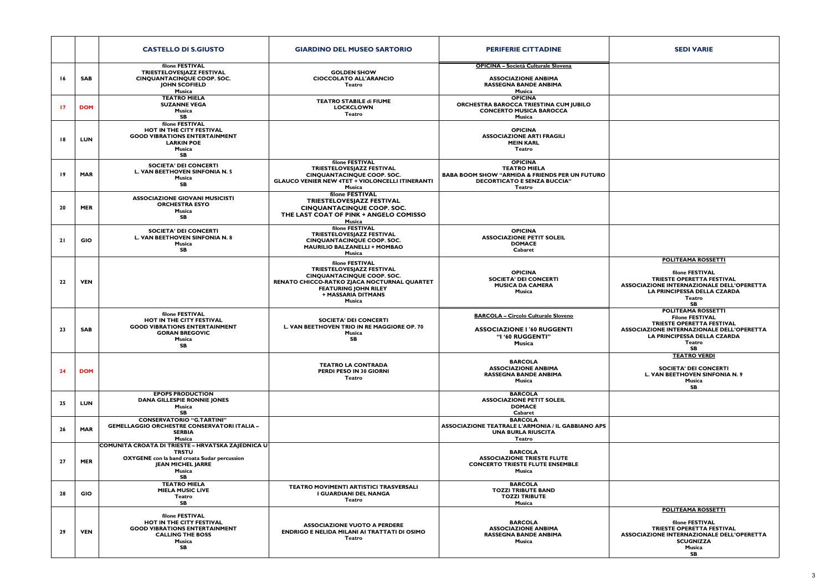|    |            | <b>CASTELLO DI S.GIUSTO</b>                                                                                                                                                       | <b>GIARDINO DEL MUSEO SARTORIO</b>                                                                                                                                                              | <b>PERIFERIE CITTADINE</b>                                                                                                                         | <b>SEDI VARIE</b>                                                                                                                                                     |
|----|------------|-----------------------------------------------------------------------------------------------------------------------------------------------------------------------------------|-------------------------------------------------------------------------------------------------------------------------------------------------------------------------------------------------|----------------------------------------------------------------------------------------------------------------------------------------------------|-----------------------------------------------------------------------------------------------------------------------------------------------------------------------|
|    |            | filone FESTIVAL                                                                                                                                                                   |                                                                                                                                                                                                 | <b>OPICINA - Società Culturale Slovena</b>                                                                                                         |                                                                                                                                                                       |
| 16 | <b>SAB</b> | TRIESTELOVESJAZZ FESTIVAL<br><b>CINQUANTACINQUE COOP. SOC.</b><br><b>JOHN SCOFIELD</b><br>Musica                                                                                  | <b>GOLDEN SHOW</b><br><b>CIOCCOLATO ALL'ARANCIO</b><br>Teatro                                                                                                                                   | <b>ASSOCIAZIONE ANBIMA</b><br><b>RASSEGNA BANDE ANBIMA</b><br>Musica                                                                               |                                                                                                                                                                       |
| 17 | <b>DOM</b> | <b>TEATRO MIELA</b><br><b>SUZANNE VEGA</b><br>Musica<br><b>SB</b>                                                                                                                 | <b>TEATRO STABILE di FIUME</b><br><b>LOCKCLOWN</b><br>Teatro                                                                                                                                    | <b>OPICINA</b><br>ORCHESTRA BAROCCA TRIESTINA CUM JUBILO<br><b>CONCERTO MUSICA BAROCCA</b><br>Musica                                               |                                                                                                                                                                       |
| 18 | <b>LUN</b> | filone FESTIVAL<br>HOT IN THE CITY FESTIVAL<br><b>GOOD VIBRATIONS ENTERTAINMENT</b><br><b>LARKIN POE</b><br>Musica<br><b>SB</b>                                                   |                                                                                                                                                                                                 | <b>OPICINA</b><br><b>ASSOCIAZIONE ARTI FRAGILI</b><br><b>MEIN KARL</b><br>Teatro                                                                   |                                                                                                                                                                       |
| 19 | <b>MAR</b> | <b>SOCIETA' DEI CONCERTI</b><br><b>L. VAN BEETHOVEN SINFONIA N. 5</b><br>Musica<br><b>SB</b>                                                                                      | filone FESTIVAL<br>TRIESTELOVESJAZZ FESTIVAL<br><b>CINQUANTACINQUE COOP. SOC.</b><br><b>GLAUCO VENIER NEW 4TET + VIOLONCELLI ITINERANTI</b><br>Musica                                           | <b>OPICINA</b><br><b>TEATRO MIELA</b><br><b>BABA BOOM SHOW "ARMIDA &amp; FRIENDS PER UN FUTURO</b><br><b>DECORTICATO E SENZA BUCCIA"</b><br>Teatro |                                                                                                                                                                       |
| 20 | <b>MER</b> | <b>ASSOCIAZIONE GIOVANI MUSICISTI</b><br><b>ORCHESTRA ESYO</b><br>Musica<br>SB                                                                                                    | filone FESTIVAL<br>TRIESTELOVESJAZZ FESTIVAL<br><b>CINQUANTACINQUE COOP. SOC.</b><br>THE LAST COAT OF PINK + ANGELO COMISSO<br><b>Musica</b>                                                    |                                                                                                                                                    |                                                                                                                                                                       |
| 21 | <b>GIO</b> | <b>SOCIETA' DEI CONCERTI</b><br>L. VAN BEETHOVEN SINFONIA N. 8<br>Musica<br>SB                                                                                                    | filone FESTIVAL<br>TRIESTELOVESJAZZ FESTIVAL<br><b>CINQUANTACINQUE COOP. SOC.</b><br><b>MAURILIO BALZANELLI + MOMBAO</b><br>Musica                                                              | <b>OPICINA</b><br><b>ASSOCIAZIONE PETIT SOLEIL</b><br><b>DOMACE</b><br>Cabaret                                                                     |                                                                                                                                                                       |
| 22 | <b>VEN</b> |                                                                                                                                                                                   | filone FESTIVAL<br>TRIESTELOVESJAZZ FESTIVAL<br><b>CINQUANTACINQUE COOP. SOC.</b><br>RENATO CHICCO-RATKO ZJACA NOCTURNAL QUARTET<br><b>FEATURING JOHN RILEY</b><br>+ MASSARIA DITMANS<br>Musica | <b>OPICINA</b><br><b>SOCIETA' DEI CONCERTI</b><br><b>MUSICA DA CAMERA</b><br>Musica                                                                | <b>POLITEAMA ROSS</b><br>filone FESTIVA<br><b>TRIESTE OPERETTA F</b><br><b>ASSOCIAZIONE INTERNAZIONA</b><br><b>LA PRINCIPESSA DELLA</b><br>Teatro<br><b>SB</b>        |
| 23 | <b>SAB</b> | filone FESTIVAL<br>HOT IN THE CITY FESTIVAL<br><b>GOOD VIBRATIONS ENTERTAINMENT</b><br><b>GORAN BREGOVIC</b><br>Musica<br><b>SB</b>                                               | <b>SOCIETA' DEI CONCERTI</b><br>L. VAN BEETHOVEN TRIO IN RE MAGGIORE OP. 70<br>Musica<br>SB                                                                                                     | <b>BARCOLA - Circolo Culturale Sloveno</b><br><b>ASSOCIAZIONE I '60 RUGGENTI</b><br>"I '60 RUGGENTI"<br>Musica                                     | <b>POLITEAMA ROSS</b><br><b>Filone FESTIVA</b><br><b>TRIESTE OPERETTA F</b><br><b>ASSOCIAZIONE INTERNAZIONA</b><br><b>LA PRINCIPESSA DELLA</b><br>Teatro<br><b>SB</b> |
| 24 | <b>DOM</b> |                                                                                                                                                                                   | <b>TEATRO LA CONTRADA</b><br><b>PERDI PESO IN 30 GIORNI</b><br>Teatro                                                                                                                           | <b>BARCOLA</b><br><b>ASSOCIAZIONE ANBIMA</b><br><b>RASSEGNA BANDE ANBIMA</b><br>Musica                                                             | <b>TEATRO VERD</b><br><b>SOCIETA' DEI CON</b><br><b>L. VAN BEETHOVEN SIN</b><br>Musica<br><b>SB</b>                                                                   |
| 25 | <b>LUN</b> | <b>EPOPS PRODUCTION</b><br><b>DANA GILLESPIE RONNIE JONES</b><br>Musica<br><b>SB</b>                                                                                              |                                                                                                                                                                                                 | <b>BARCOLA</b><br><b>ASSOCIAZIONE PETIT SOLEIL</b><br><b>DOMACE</b><br>Cabaret                                                                     |                                                                                                                                                                       |
| 26 | <b>MAR</b> | <b>CONSERVATORIO "G.TARTINI"</b><br><b>GEMELLAGGIO ORCHESTRE CONSERVATORI ITALIA -</b><br><b>SERBIA</b><br>Musica                                                                 |                                                                                                                                                                                                 | <b>BARCOLA</b><br><b>ASSOCIAZIONE TEATRALE L'ARMONIA / IL GABBIANO APS</b><br><b>UNA BURLA RIUSCITA</b><br>Teatro                                  |                                                                                                                                                                       |
| 27 | <b>MER</b> | <b>COMUNITÀ CROATA DI TRIESTE – HRVATSKA ZAJEDNICA U</b><br><b>TRSTU</b><br><b>OXYGENE</b> con la band croata Sudar percussion<br><b>JEAN MICHEL JARRE</b><br>Musica<br><b>SB</b> |                                                                                                                                                                                                 | <b>BARCOLA</b><br><b>ASSOCIAZIONE TRIESTE FLUTE</b><br><b>CONCERTO TRIESTE FLUTE ENSEMBLE</b><br>Musica                                            |                                                                                                                                                                       |
| 28 | <b>GIO</b> | <b>TEATRO MIELA</b><br><b>MIELA MUSIC LIVE</b><br>Teatro<br><b>SB</b>                                                                                                             | <b>TEATRO MOVIMENTI ARTISTICI TRASVERSALI</b><br>I GUARDIANI DEL NANGA<br>Teatro                                                                                                                | <b>BARCOLA</b><br><b>TOZZI TRIBUTE BAND</b><br><b>TOZZI TRIBUTE</b><br>Musica                                                                      |                                                                                                                                                                       |
|    |            |                                                                                                                                                                                   |                                                                                                                                                                                                 |                                                                                                                                                    | <b>POLITEAMA ROSS</b>                                                                                                                                                 |
| 29 | <b>VEN</b> | filone FESTIVAL<br>HOT IN THE CITY FESTIVAL<br><b>GOOD VIBRATIONS ENTERTAINMENT</b><br><b>CALLING THE BOSS</b><br>Musica<br><b>SB</b>                                             | <b>ASSOCIAZIONE VUOTO A PERDERE</b><br><b>ENDRIGO E NELIDA MILANI AI TRATTATI DI OSIMO</b><br>Teatro                                                                                            | <b>BARCOLA</b><br><b>ASSOCIAZIONE ANBIMA</b><br><b>RASSEGNA BANDE ANBIMA</b><br>Musica                                                             | filone FESTIVA<br><b>TRIESTE OPERETTA F</b><br><b>ASSOCIAZIONE INTERNAZIONA</b><br><b>SCUGNIZZA</b><br>Musica                                                         |
|    |            |                                                                                                                                                                                   |                                                                                                                                                                                                 |                                                                                                                                                    | <b>SB</b>                                                                                                                                                             |

| <b>SEDI VARIE</b>                                                                                                                                                                          |
|--------------------------------------------------------------------------------------------------------------------------------------------------------------------------------------------|
|                                                                                                                                                                                            |
|                                                                                                                                                                                            |
|                                                                                                                                                                                            |
|                                                                                                                                                                                            |
|                                                                                                                                                                                            |
|                                                                                                                                                                                            |
|                                                                                                                                                                                            |
|                                                                                                                                                                                            |
| <b>POLITEAMA ROSSETTI</b><br>filone FESTIVAL<br>TRIESTE OPERETTA FESTIVAL<br><b>ASSOCIAZIONE INTERNAZIONALE DELL'OPERETTA</b><br>LA PRINCIPESSA DELLA CZARDA<br>Teatro<br>SB               |
| <b>POLITEAMA ROSSETTI</b><br><b>Filone FESTIVAL</b><br><b>TRIESTE OPERETTA FESTIVAL</b><br><b>ASSOCIAZIONE INTERNAZIONALE DELL'OPERETTA</b><br>LA PRINCIPESSA DELLA CZARDA<br>Teatro<br>SВ |
| <b>TEATRO VERDI</b>                                                                                                                                                                        |
| <b>SOCIETA' DEI CONCERTI</b><br>L. VAN BEETHOVEN SINFONIA N. 9<br>Musica<br>SB                                                                                                             |
|                                                                                                                                                                                            |
|                                                                                                                                                                                            |
|                                                                                                                                                                                            |
|                                                                                                                                                                                            |
|                                                                                                                                                                                            |
| <b>POLITEAMA ROSSETTI</b>                                                                                                                                                                  |
| filone FESTIVAL<br><b>TRIESTE OPERETTA FESTIVAL</b><br><b>ASSOCIAZIONE INTERNAZIONALE DELL'OPERETTA</b><br><b>SCUGNIZZA</b><br>Musica                                                      |
| <b>SB</b>                                                                                                                                                                                  |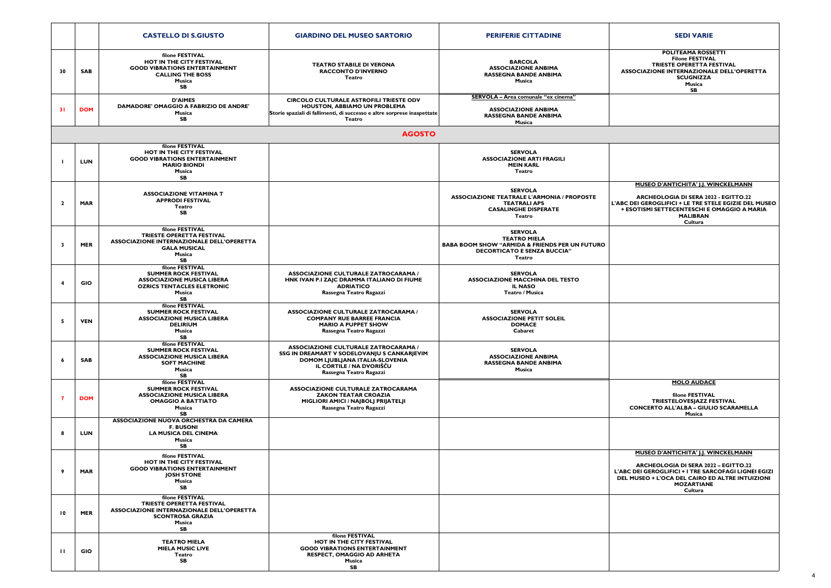|                         |            | <b>CASTELLO DI S.GIUSTO</b>                                                                                                                           | <b>GIARDINO DEL MUSEO SARTORIO</b>                                                                                                                                                   | <b>PERIFERIE CITTADINE</b>                                                                                                                         | <b>SEDI VARIE</b>                                                                                                                                                                      |
|-------------------------|------------|-------------------------------------------------------------------------------------------------------------------------------------------------------|--------------------------------------------------------------------------------------------------------------------------------------------------------------------------------------|----------------------------------------------------------------------------------------------------------------------------------------------------|----------------------------------------------------------------------------------------------------------------------------------------------------------------------------------------|
| 30                      | <b>SAB</b> | filone FESTIVAL<br>HOT IN THE CITY FESTIVAL<br><b>GOOD VIBRATIONS ENTERTAINMENT</b><br><b>CALLING THE BOSS</b><br>Musica<br>SB                        | <b>TEATRO STABILE DI VERONA</b><br><b>RACCONTO D'INVERNO</b><br>Teatro                                                                                                               | <b>BARCOLA</b><br><b>ASSOCIAZIONE ANBIMA</b><br><b>RASSEGNA BANDE ANBIMA</b><br>Musica                                                             | <b>POLITEAMA ROSS</b><br><b>Filone FESTIVA</b><br><b>TRIESTE OPERETTA F</b><br><b>ASSOCIAZIONE INTERNAZIONA</b><br><b>SCUGNIZZA</b><br>Musica<br><b>SB</b>                             |
| 31                      | <b>DOM</b> | <b>D'AIMES</b><br>DAMADORE' OMAGGIO A FABRIZIO DE ANDRE'<br>Musica<br><b>SB</b>                                                                       | <b>CIRCOLO CULTURALE ASTROFILI TRIESTE ODV</b><br><b>HOUSTON, ABBIAMO UN PROBLEMA</b><br>Storie spaziali di fallimenti, di successo e altre sorprese inaspettate<br>Teatro           | SERVOLA - Area comunale "ex cinema"<br><b>ASSOCIAZIONE ANBIMA</b><br><b>RASSEGNA BANDE ANBIMA</b><br>Musica                                        |                                                                                                                                                                                        |
|                         |            |                                                                                                                                                       | <b>AGOSTO</b>                                                                                                                                                                        |                                                                                                                                                    |                                                                                                                                                                                        |
|                         | <b>LUN</b> | filone FESTIVAL<br>HOT IN THE CITY FESTIVAL<br><b>GOOD VIBRATIONS ENTERTAINMENT</b><br><b>MARIO BIONDI</b><br>Musica<br><b>SB</b>                     |                                                                                                                                                                                      | <b>SERVOLA</b><br><b>ASSOCIAZIONE ARTI FRAGILI</b><br><b>MEIN KARL</b><br>Teatro                                                                   |                                                                                                                                                                                        |
| $\overline{2}$          | <b>MAR</b> | <b>ASSOCIAZIONE VITAMINA T</b><br><b>APPRODI FESTIVAL</b><br>Teatro<br><b>SB</b>                                                                      |                                                                                                                                                                                      | <b>SERVOLA</b><br><b>ASSOCIAZIONE TEATRALE L'ARMONIA / PROPOSTE</b><br><b>TEATRALI APS</b><br><b>CASALINGHE DISPERATE</b><br>Teatro                | <b>MUSEO D'ANTICHITA' J.J. W</b><br><b>ARCHEOLOGIA DI SERA 202</b><br>L'ABC DEI GEROGLIFICI + LE TRE STI<br><b>+ ESOTISMI SETTECENTESCHI E</b><br><b>MALIBRAN</b><br>Cultura           |
| $\overline{\mathbf{3}}$ | <b>MER</b> | filone FESTIVAL<br><b>TRIESTE OPERETTA FESTIVAL</b><br><b>ASSOCIAZIONE INTERNAZIONALE DELL'OPERETTA</b><br><b>GALA MUSICAL</b><br>Musica<br><b>SB</b> |                                                                                                                                                                                      | <b>SERVOLA</b><br><b>TEATRO MIELA</b><br><b>BABA BOOM SHOW "ARMIDA &amp; FRIENDS PER UN FUTURO</b><br><b>DECORTICATO E SENZA BUCCIA"</b><br>Teatro |                                                                                                                                                                                        |
| 4                       | <b>GIO</b> | filone FESTIVAL<br><b>SUMMER ROCK FESTIVAL</b><br><b>ASSOCIAZIONE MUSICA LIBERA</b><br><b>OZRICS TENTACLES ELETRONIC</b><br>Musica<br>SB              | <b>ASSOCIAZIONE CULTURALE ZATROCARAMA /</b><br>HNK IVAN P.I ZAJC DRAMMA ITALIANO DI FIUME<br><b>ADRIATICO</b><br>Rassegna Teatro Ragazzi                                             | <b>SERVOLA</b><br><b>ASSOCIAZIONE MACCHINA DEL TESTO</b><br><b>IL NASO</b><br>Teatro / Musica                                                      |                                                                                                                                                                                        |
| -5                      | <b>VEN</b> | filone FESTIVAL<br><b>SUMMER ROCK FESTIVAL</b><br><b>ASSOCIAZIONE MUSICA LIBERA</b><br><b>DELIRIUM</b><br>Musica<br>SB.                               | <b>ASSOCIAZIONE CULTURALE ZATROCARAMA /</b><br><b>COMPANY RUE BARREE FRANCIA</b><br><b>MARIO A PUPPET SHOW</b><br>Rassegna Teatro Ragazzi                                            | <b>SERVOLA</b><br><b>ASSOCIAZIONE PETIT SOLEIL</b><br><b>DOMACE</b><br>Cabaret                                                                     |                                                                                                                                                                                        |
| 6                       | <b>SAB</b> | filone FESTIVAL<br><b>SUMMER ROCK FESTIVAL</b><br><b>ASSOCIAZIONE MUSICA LIBERA</b><br><b>SOFT MACHINE</b><br>Musica<br>SB                            | <b>ASSOCIAZIONE CULTURALE ZATROCARAMA /</b><br>SSG IN DREAMART V SODELOVANJU S CANKARJEVIM<br>DOMOM LJUBLJANA ITALIA-SLOVENIA<br>IL CORTILE / NA DVORIŠČU<br>Rassegna Teatro Ragazzi | <b>SERVOLA</b><br><b>ASSOCIAZIONE ANBIMA</b><br><b>RASSEGNA BANDE ANBIMA</b><br>Musica                                                             |                                                                                                                                                                                        |
|                         | <b>DOM</b> | filone FESTIVAL<br><b>SUMMER ROCK FESTIVAL</b><br><b>ASSOCIAZIONE MUSICA LIBERA</b><br><b>OMAGGIO A BATTIATO</b><br>Musica<br><b>SB</b>               | <b>ASSOCIAZIONE CULTURALE ZATROCARAMA</b><br><b>ZAKON TEATAR CROAZIA</b><br>MIGLIORI AMICI / NAJBOLJ PRIJATELJI<br>Rassegna Teatro Ragazzi                                           |                                                                                                                                                    | <b>MOLO AUDAC</b><br>filone FESTIVA<br><b>TRIESTELOVESJAZZ F</b><br><b>CONCERTO ALL'ALBA - GIUL</b><br>Musica                                                                          |
| 8                       | <b>LUN</b> | ASSOCIAZIONE NUOVA ORCHESTRA DA CAMERA<br><b>F. BUSONI</b><br><b>LA MUSICA DEL CINEMA</b><br>Musica<br>SB                                             |                                                                                                                                                                                      |                                                                                                                                                    |                                                                                                                                                                                        |
| 9                       | <b>MAR</b> | filone FESTIVAL<br>HOT IN THE CITY FESTIVAL<br><b>GOOD VIBRATIONS ENTERTAINMENT</b><br><b>JOSH STONE</b><br>Musica<br>SB                              |                                                                                                                                                                                      |                                                                                                                                                    | <b>MUSEO D'ANTICHITA' J.J. W</b><br><b>ARCHEOLOGIA DI SERA 202</b><br><b>L'ABC DEI GEROGLIFICI + I TRE SAF</b><br><b>DEL MUSEO + L'OCA DEL CAIRO E</b><br><b>MOZARTIANE</b><br>Cultura |
| $\overline{10}$         | <b>MER</b> | filone FESTIVAL<br>TRIESTE OPERETTA FESTIVAL<br><b>ASSOCIAZIONE INTERNAZIONALE DELL'OPERETTA</b><br><b>SCONTROSA GRAZIA</b><br>Musica<br><b>SB</b>    |                                                                                                                                                                                      |                                                                                                                                                    |                                                                                                                                                                                        |
| п                       | GIO        | <b>TEATRO MIELA</b><br><b>MIELA MUSIC LIVE</b><br>Teatro<br><b>SB</b>                                                                                 | filone FESTIVAL<br>HOT IN THE CITY FESTIVAL<br><b>GOOD VIBRATIONS ENTERTAINMENT</b><br><b>RESPECT, OMAGGIO AD ARHETA</b><br>Musica<br><b>SB</b>                                      |                                                                                                                                                    |                                                                                                                                                                                        |

| <b>SEDI VARIE</b>                                                                                           |
|-------------------------------------------------------------------------------------------------------------|
| <b>POLITEAMA ROSSETTI</b>                                                                                   |
| <b>Filone FESTIVAL</b><br><b>TRIESTE OPERETTA FESTIVAL</b>                                                  |
| <b>ASSOCIAZIONE INTERNAZIONALE DELL'OPERETTA</b>                                                            |
| <b>SCUGNIZZA</b>                                                                                            |
| <b>Musica</b><br><b>SB</b>                                                                                  |
|                                                                                                             |
|                                                                                                             |
|                                                                                                             |
|                                                                                                             |
|                                                                                                             |
|                                                                                                             |
|                                                                                                             |
|                                                                                                             |
| <b>MUSEO D'ANTICHITA' J.J. WINCKELMANN</b>                                                                  |
| <b>ARCHEOLOGIA DI SERA 2022 - EGITTO.22</b>                                                                 |
| <b>L'ABC DEI GEROGLIFICI + LE TRE STELE EGIZIE DEL MUSEO</b><br>+ ESOTISMI SETTECENTESCHI E OMAGGIO A MARIA |
| <b>MALIBRAN</b>                                                                                             |
| Cultura                                                                                                     |
|                                                                                                             |
|                                                                                                             |
|                                                                                                             |
|                                                                                                             |
|                                                                                                             |
|                                                                                                             |
|                                                                                                             |
|                                                                                                             |
|                                                                                                             |
|                                                                                                             |
|                                                                                                             |
|                                                                                                             |
|                                                                                                             |
|                                                                                                             |
|                                                                                                             |
| <b>MOLO AUDACE</b>                                                                                          |
|                                                                                                             |
| filone FESTIVAL<br>TRIESTELOVESJAZZ FESTIVAL                                                                |
| <b>CONCERTO ALL'ALBA - GIULIO SCARAMELLA</b>                                                                |
| <b>Musica</b>                                                                                               |
|                                                                                                             |
|                                                                                                             |
| <b>MUSEO D'ANTICHITA' J.J. WINCKELMANN</b>                                                                  |
|                                                                                                             |
| <b>ARCHEOLOGIA DI SERA 2022 – EGITTO.22</b><br>L'ABC DEI GEROGLIFICI + I TRE SARCOFAGI LIGNEI EGIZI         |
| <b>DEL MUSEO + L'OCA DEL CAIRO ED ALTRE INTUIZIONI</b><br><b>MOZARTIANE</b>                                 |
| Cultura                                                                                                     |
|                                                                                                             |
|                                                                                                             |
|                                                                                                             |
|                                                                                                             |
|                                                                                                             |
|                                                                                                             |
|                                                                                                             |
|                                                                                                             |